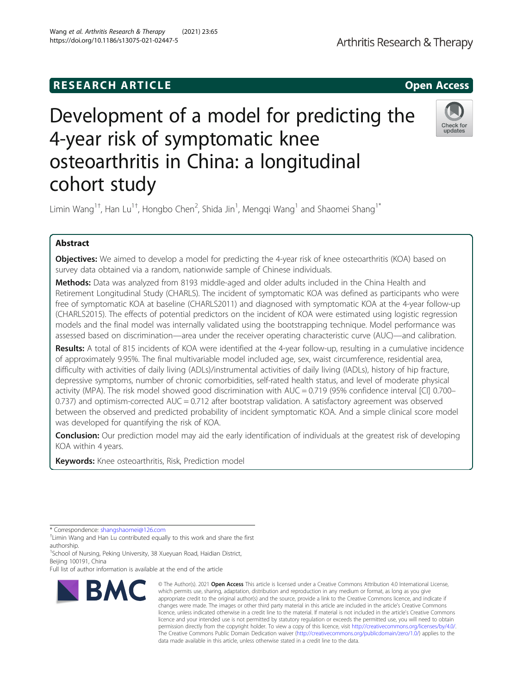# **RESEARCH ARTICLE Example 2014 CONSIDERING CONSIDERING CONSIDERING CONSIDERING CONSIDERING CONSIDERING CONSIDERING CONSIDERING CONSIDERING CONSIDERING CONSIDERING CONSIDERING CONSIDERING CONSIDERING CONSIDERING CONSIDE**

# Development of a model for predicting the 4-year risk of symptomatic knee osteoarthritis in China: a longitudinal cohort study

Limin Wang $^{1\dagger}$ , Han Lu $^{1\dagger}$ , Hongbo Chen $^2$ , Shida Jin $^1$ , Mengqi Wang $^1$  and Shaomei Shang $^{1*}$ 

# Abstract

**Objectives:** We aimed to develop a model for predicting the 4-year risk of knee osteoarthritis (KOA) based on survey data obtained via a random, nationwide sample of Chinese individuals.

Methods: Data was analyzed from 8193 middle-aged and older adults included in the China Health and Retirement Longitudinal Study (CHARLS). The incident of symptomatic KOA was defined as participants who were free of symptomatic KOA at baseline (CHARLS2011) and diagnosed with symptomatic KOA at the 4-year follow-up (CHARLS2015). The effects of potential predictors on the incident of KOA were estimated using logistic regression models and the final model was internally validated using the bootstrapping technique. Model performance was assessed based on discrimination—area under the receiver operating characteristic curve (AUC)—and calibration.

Results: A total of 815 incidents of KOA were identified at the 4-year follow-up, resulting in a cumulative incidence of approximately 9.95%. The final multivariable model included age, sex, waist circumference, residential area, difficulty with activities of daily living (ADLs)/instrumental activities of daily living (IADLs), history of hip fracture, depressive symptoms, number of chronic comorbidities, self-rated health status, and level of moderate physical activity (MPA). The risk model showed good discrimination with AUC = 0.719 (95% confidence interval [CI] 0.700– 0.737) and optimism-corrected AUC = 0.712 after bootstrap validation. A satisfactory agreement was observed between the observed and predicted probability of incident symptomatic KOA. And a simple clinical score model was developed for quantifying the risk of KOA.

**Conclusion:** Our prediction model may aid the early identification of individuals at the greatest risk of developing KOA within 4 years.

**Keywords:** Knee osteoarthritis, Risk, Prediction model

\* Correspondence: [shangshaomei@126.com](mailto:shangshaomei@126.com) †

**BMC** 

<sup>+</sup>Limin Wang and Han Lu contributed equally to this work and share the first authorship.

<sup>1</sup>School of Nursing, Peking University, 38 Xueyuan Road, Haidian District, Beijing 100191, China

Full list of author information is available at the end of the article

which permits use, sharing, adaptation, distribution and reproduction in any medium or format, as long as you give appropriate credit to the original author(s) and the source, provide a link to the Creative Commons licence, and indicate if changes were made. The images or other third party material in this article are included in the article's Creative Commons licence, unless indicated otherwise in a credit line to the material. If material is not included in the article's Creative Commons licence and your intended use is not permitted by statutory regulation or exceeds the permitted use, you will need to obtain permission directly from the copyright holder. To view a copy of this licence, visit [http://creativecommons.org/licenses/by/4.0/.](http://creativecommons.org/licenses/by/4.0/) The Creative Commons Public Domain Dedication waiver [\(http://creativecommons.org/publicdomain/zero/1.0/](http://creativecommons.org/publicdomain/zero/1.0/)) applies to the data made available in this article, unless otherwise stated in a credit line to the data.

© The Author(s), 2021 **Open Access** This article is licensed under a Creative Commons Attribution 4.0 International License,



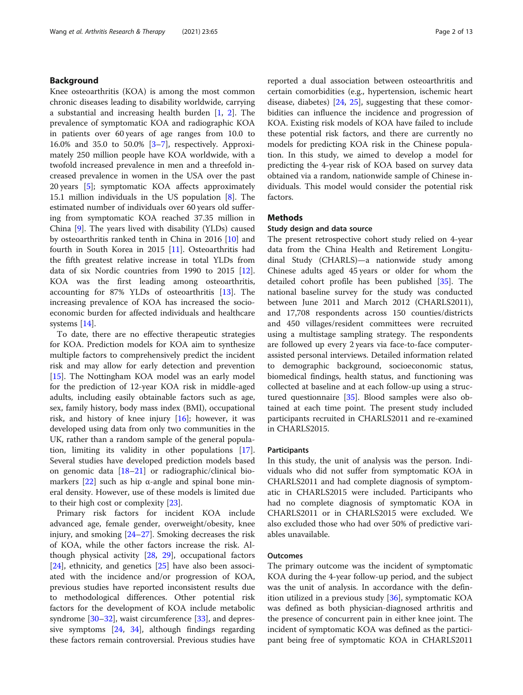# Background

Knee osteoarthritis (KOA) is among the most common chronic diseases leading to disability worldwide, carrying a substantial and increasing health burden  $[1, 2]$  $[1, 2]$  $[1, 2]$  $[1, 2]$ . The prevalence of symptomatic KOA and radiographic KOA in patients over 60 years of age ranges from 10.0 to 16.0% and 35.0 to 50.0% [[3](#page-11-0)–[7](#page-11-0)], respectively. Approximately 250 million people have KOA worldwide, with a twofold increased prevalence in men and a threefold increased prevalence in women in the USA over the past 20 years [\[5](#page-11-0)]; symptomatic KOA affects approximately 15.1 million individuals in the US population [\[8](#page-11-0)]. The estimated number of individuals over 60 years old suffering from symptomatic KOA reached 37.35 million in China [[9\]](#page-11-0). The years lived with disability (YLDs) caused by osteoarthritis ranked tenth in China in 2016 [\[10](#page-11-0)] and fourth in South Korea in 2015 [\[11](#page-11-0)]. Osteoarthritis had the fifth greatest relative increase in total YLDs from data of six Nordic countries from 1990 to 2015 [\[12](#page-11-0)]. KOA was the first leading among osteoarthritis, accounting for 87% YLDs of osteoarthritis [\[13\]](#page-11-0). The increasing prevalence of KOA has increased the socioeconomic burden for affected individuals and healthcare systems [\[14](#page-11-0)].

To date, there are no effective therapeutic strategies for KOA. Prediction models for KOA aim to synthesize multiple factors to comprehensively predict the incident risk and may allow for early detection and prevention [[15\]](#page-11-0). The Nottingham KOA model was an early model for the prediction of 12-year KOA risk in middle-aged adults, including easily obtainable factors such as age, sex, family history, body mass index (BMI), occupational risk, and history of knee injury  $[16]$  $[16]$ ; however, it was developed using data from only two communities in the UK, rather than a random sample of the general population, limiting its validity in other populations [\[17](#page-11-0)]. Several studies have developed prediction models based on genomic data [[18](#page-11-0)–[21](#page-11-0)] or radiographic/clinical biomarkers  $[22]$  $[22]$  such as hip  $\alpha$ -angle and spinal bone mineral density. However, use of these models is limited due to their high cost or complexity [[23\]](#page-11-0).

Primary risk factors for incident KOA include advanced age, female gender, overweight/obesity, knee injury, and smoking [[24](#page-11-0)–[27\]](#page-11-0). Smoking decreases the risk of KOA, while the other factors increase the risk. Although physical activity [\[28](#page-11-0), [29\]](#page-11-0), occupational factors [[24\]](#page-11-0), ethnicity, and genetics [[25\]](#page-11-0) have also been associated with the incidence and/or progression of KOA, previous studies have reported inconsistent results due to methodological differences. Other potential risk factors for the development of KOA include metabolic syndrome [[30](#page-11-0)–[32](#page-11-0)], waist circumference [\[33](#page-11-0)], and depressive symptoms [\[24,](#page-11-0) [34](#page-11-0)], although findings regarding these factors remain controversial. Previous studies have reported a dual association between osteoarthritis and certain comorbidities (e.g., hypertension, ischemic heart disease, diabetes) [[24](#page-11-0), [25](#page-11-0)], suggesting that these comorbidities can influence the incidence and progression of KOA. Existing risk models of KOA have failed to include these potential risk factors, and there are currently no models for predicting KOA risk in the Chinese population. In this study, we aimed to develop a model for predicting the 4-year risk of KOA based on survey data obtained via a random, nationwide sample of Chinese individuals. This model would consider the potential risk factors.

# **Methods**

# Study design and data source

The present retrospective cohort study relied on 4-year data from the China Health and Retirement Longitudinal Study (CHARLS)—a nationwide study among Chinese adults aged 45 years or older for whom the detailed cohort profile has been published [\[35](#page-11-0)]. The national baseline survey for the study was conducted between June 2011 and March 2012 (CHARLS2011), and 17,708 respondents across 150 counties/districts and 450 villages/resident committees were recruited using a multistage sampling strategy. The respondents are followed up every 2 years via face-to-face computerassisted personal interviews. Detailed information related to demographic background, socioeconomic status, biomedical findings, health status, and functioning was collected at baseline and at each follow-up using a structured questionnaire [[35](#page-11-0)]. Blood samples were also obtained at each time point. The present study included participants recruited in CHARLS2011 and re-examined in CHARLS2015.

# Participants

In this study, the unit of analysis was the person. Individuals who did not suffer from symptomatic KOA in CHARLS2011 and had complete diagnosis of symptomatic in CHARLS2015 were included. Participants who had no complete diagnosis of symptomatic KOA in CHARLS2011 or in CHARLS2015 were excluded. We also excluded those who had over 50% of predictive variables unavailable.

# **Outcomes**

The primary outcome was the incident of symptomatic KOA during the 4-year follow-up period, and the subject was the unit of analysis. In accordance with the definition utilized in a previous study [[36](#page-11-0)], symptomatic KOA was defined as both physician-diagnosed arthritis and the presence of concurrent pain in either knee joint. The incident of symptomatic KOA was defined as the participant being free of symptomatic KOA in CHARLS2011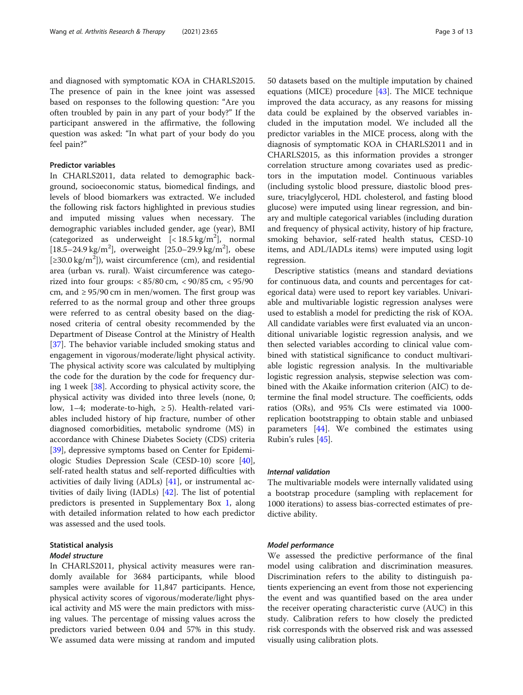and diagnosed with symptomatic KOA in CHARLS2015. The presence of pain in the knee joint was assessed based on responses to the following question: "Are you often troubled by pain in any part of your body?" If the participant answered in the affirmative, the following question was asked: "In what part of your body do you feel pain?"

# Predictor variables

In CHARLS2011, data related to demographic background, socioeconomic status, biomedical findings, and levels of blood biomarkers was extracted. We included the following risk factors highlighted in previous studies and imputed missing values when necessary. The demographic variables included gender, age (year), BMI (categorized as underweight  $\left[ < 18.5 \text{ kg/m}^2 \right]$ , normal [18.5–24.9 kg/m<sup>2</sup>], overweight [25.0–29.9 kg/m<sup>2</sup>], obese [ $\geq$ 30.0 kg/m<sup>2</sup>]), waist circumference (cm), and residential area (urban vs. rural). Waist circumference was categorized into four groups: < 85/80 cm, < 90/85 cm, < 95/90 cm, and  $\geq$  95/90 cm in men/women. The first group was referred to as the normal group and other three groups were referred to as central obesity based on the diagnosed criteria of central obesity recommended by the Department of Disease Control at the Ministry of Health [[37\]](#page-11-0). The behavior variable included smoking status and engagement in vigorous/moderate/light physical activity. The physical activity score was calculated by multiplying the code for the duration by the code for frequency during 1 week [[38](#page-11-0)]. According to physical activity score, the physical activity was divided into three levels (none, 0; low, 1–4; moderate-to-high,  $\geq$  5). Health-related variables included history of hip fracture, number of other diagnosed comorbidities, metabolic syndrome (MS) in accordance with Chinese Diabetes Society (CDS) criteria [[39\]](#page-11-0), depressive symptoms based on Center for Epidemiologic Studies Depression Scale (CESD-10) score [\[40](#page-11-0)], self-rated health status and self-reported difficulties with activities of daily living (ADLs) [[41\]](#page-11-0), or instrumental activities of daily living (IADLs) [[42\]](#page-11-0). The list of potential predictors is presented in Supplementary Box [1,](#page-10-0) along with detailed information related to how each predictor was assessed and the used tools.

# Statistical analysis Model structure

In CHARLS2011, physical activity measures were randomly available for 3684 participants, while blood samples were available for 11,847 participants. Hence, physical activity scores of vigorous/moderate/light physical activity and MS were the main predictors with missing values. The percentage of missing values across the predictors varied between 0.04 and 57% in this study. We assumed data were missing at random and imputed 50 datasets based on the multiple imputation by chained equations (MICE) procedure [\[43\]](#page-11-0). The MICE technique improved the data accuracy, as any reasons for missing data could be explained by the observed variables included in the imputation model. We included all the predictor variables in the MICE process, along with the diagnosis of symptomatic KOA in CHARLS2011 and in CHARLS2015, as this information provides a stronger correlation structure among covariates used as predictors in the imputation model. Continuous variables (including systolic blood pressure, diastolic blood pressure, triacylglycerol, HDL cholesterol, and fasting blood glucose) were imputed using linear regression, and binary and multiple categorical variables (including duration and frequency of physical activity, history of hip fracture, smoking behavior, self-rated health status, CESD-10 items, and ADL/IADLs items) were imputed using logit regression.

Descriptive statistics (means and standard deviations for continuous data, and counts and percentages for categorical data) were used to report key variables. Univariable and multivariable logistic regression analyses were used to establish a model for predicting the risk of KOA. All candidate variables were first evaluated via an unconditional univariable logistic regression analysis, and we then selected variables according to clinical value combined with statistical significance to conduct multivariable logistic regression analysis. In the multivariable logistic regression analysis, stepwise selection was combined with the Akaike information criterion (AIC) to determine the final model structure. The coefficients, odds ratios (ORs), and 95% CIs were estimated via 1000 replication bootstrapping to obtain stable and unbiased parameters [\[44](#page-12-0)]. We combined the estimates using Rubin's rules [[45](#page-12-0)].

# Internal validation

The multivariable models were internally validated using a bootstrap procedure (sampling with replacement for 1000 iterations) to assess bias-corrected estimates of predictive ability.

# Model performance

We assessed the predictive performance of the final model using calibration and discrimination measures. Discrimination refers to the ability to distinguish patients experiencing an event from those not experiencing the event and was quantified based on the area under the receiver operating characteristic curve (AUC) in this study. Calibration refers to how closely the predicted risk corresponds with the observed risk and was assessed visually using calibration plots.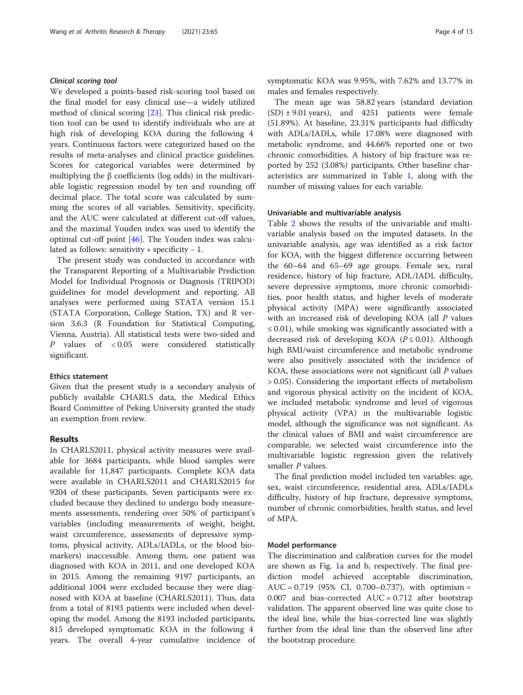# Clinical scoring tool

We developed a points-based risk-scoring tool based on the final model for easy clinical use—a widely utilized method of clinical scoring [\[23\]](#page-11-0). This clinical risk prediction tool can be used to identify individuals who are at high risk of developing KOA during the following 4 years. Continuous factors were categorized based on the results of meta-analyses and clinical practice guidelines. Scores for categorical variables were determined by multiplying the β coefficients (log odds) in the multivariable logistic regression model by ten and rounding off decimal place. The total score was calculated by summing the scores of all variables. Sensitivity, specificity, and the AUC were calculated at different cut-off values, and the maximal Youden index was used to identify the optimal cut-off point [\[46](#page-12-0)]. The Youden index was calculated as follows: sensitivity + specificity  $-1$ .

The present study was conducted in accordance with the Transparent Reporting of a Multivariable Prediction Model for Individual Prognosis or Diagnosis (TRIPOD) guidelines for model development and reporting. All analyses were performed using STATA version 15.1 (STATA Corporation, College Station, TX) and R version 3.6.3 (R Foundation for Statistical Computing, Vienna, Austria). All statistical tests were two-sided and P values of < 0.05 were considered statistically significant.

#### Ethics statement

Given that the present study is a secondary analysis of publicly available CHARLS data, the Medical Ethics Board Committee of Peking University granted the study an exemption from review.

# Results

In CHARLS2011, physical activity measures were available for 3684 participants, while blood samples were available for 11,847 participants. Complete KOA data were available in CHARLS2011 and CHARLS2015 for 9204 of these participants. Seven participants were excluded because they declined to undergo body measurements assessments, rendering over 50% of participant's variables (including measurements of weight, height, waist circumference, assessments of depressive symptoms, physical activity, ADLs/IADLs, or the blood biomarkers) inaccessible. Among them, one patient was diagnosed with KOA in 2011, and one developed KOA in 2015. Among the remaining 9197 participants, an additional 1004 were excluded because they were diagnosed with KOA at baseline (CHARLS2011). Thus, data from a total of 8193 patients were included when developing the model. Among the 8193 included participants, 815 developed symptomatic KOA in the following 4 years. The overall 4-year cumulative incidence of symptomatic KOA was 9.95%, with 7.62% and 13.77% in males and females respectively.

The mean age was 58.82 years (standard deviation  $(SD) \pm 9.01$  years), and 4251 patients were female (51.89%). At baseline, 23.31% participants had difficulty with ADLs/IADLs, while 17.08% were diagnosed with metabolic syndrome, and 44.66% reported one or two chronic comorbidities. A history of hip fracture was reported by 252 (3.08%) participants. Other baseline characteristics are summarized in Table [1](#page-4-0), along with the number of missing values for each variable.

### Univariable and multivariable analysis

Table [2](#page-6-0) shows the results of the univariable and multivariable analysis based on the imputed datasets. In the univariable analysis, age was identified as a risk factor for KOA, with the biggest difference occurring between the 60–64 and 65–69 age groups. Female sex, rural residence, history of hip fracture, ADL/IADL difficulty, severe depressive symptoms, more chronic comorbidities, poor health status, and higher levels of moderate physical activity (MPA) were significantly associated with an increased risk of developing KOA (all P values  $\leq$  0.01), while smoking was significantly associated with a decreased risk of developing KOA ( $P \le 0.01$ ). Although high BMI/waist circumference and metabolic syndrome were also positively associated with the incidence of KOA, these associations were not significant (all P values > 0.05). Considering the important effects of metabolism and vigorous physical activity on the incident of KOA, we included metabolic syndrome and level of vigorous physical activity (VPA) in the multivariable logistic model, although the significance was not significant. As the clinical values of BMI and waist circumference are comparable, we selected waist circumference into the multivariable logistic regression given the relatively smaller *P* values.

The final prediction model included ten variables: age, sex, waist circumference, residential area, ADLs/IADLs difficulty, history of hip fracture, depressive symptoms, number of chronic comorbidities, health status, and level of MPA.

#### Model performance

The discrimination and calibration curves for the model are shown as Fig. [1](#page-8-0)a and b, respectively. The final prediction model achieved acceptable discrimination, AUC =  $0.719$  (95% CI, 0.700–0.737), with optimism = 0.007 and bias-corrected  $AUC = 0.712$  after bootstrap validation. The apparent observed line was quite close to the ideal line, while the bias-corrected line was slightly further from the ideal line than the observed line after the bootstrap procedure.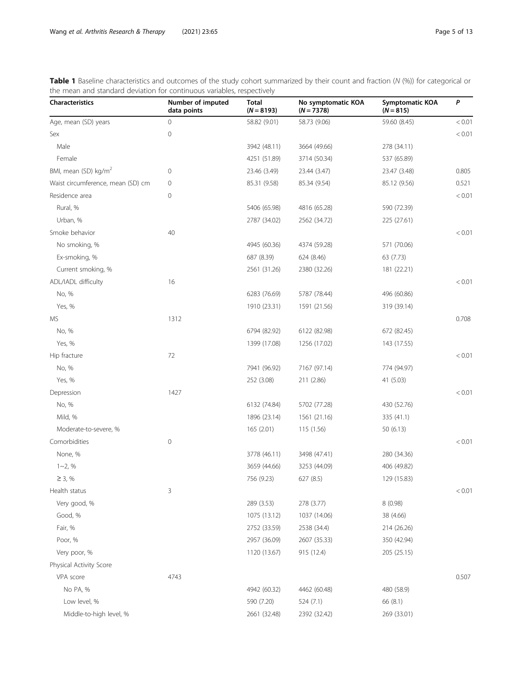<span id="page-4-0"></span>Table 1 Baseline characteristics and outcomes of the study cohort summarized by their count and fraction (N (%)) for categorical or the mean and standard deviation for continuous variables, respectively

| <b>Characteristics</b>            | Number of imputed<br>data points | Total<br>$(N = 8193)$ | No symptomatic KOA<br>$(N = 7378)$ | Symptomatic KOA<br>$(N = 815)$ | P      |
|-----------------------------------|----------------------------------|-----------------------|------------------------------------|--------------------------------|--------|
| Age, mean (SD) years              | 0                                | 58.82 (9.01)          | 58.73 (9.06)                       | 59.60 (8.45)                   | < 0.01 |
| Sex                               | $\mathbf 0$                      |                       |                                    |                                | < 0.01 |
| Male                              |                                  | 3942 (48.11)          | 3664 (49.66)                       | 278 (34.11)                    |        |
| Female                            |                                  | 4251 (51.89)          | 3714 (50.34)                       | 537 (65.89)                    |        |
| BMI, mean (SD) kg/m <sup>2</sup>  | $\mathbf 0$                      | 23.46 (3.49)          | 23.44 (3.47)                       | 23.47 (3.48)                   | 0.805  |
| Waist circumference, mean (SD) cm | $\mathbf 0$                      | 85.31 (9.58)          | 85.34 (9.54)                       | 85.12 (9.56)                   | 0.521  |
| Residence area                    | $\mathbf 0$                      |                       |                                    |                                | < 0.01 |
| Rural, %                          |                                  | 5406 (65.98)          | 4816 (65.28)                       | 590 (72.39)                    |        |
| Urban, %                          |                                  | 2787 (34.02)          | 2562 (34.72)                       | 225 (27.61)                    |        |
| Smoke behavior                    | 40                               |                       |                                    |                                | < 0.01 |
| No smoking, %                     |                                  | 4945 (60.36)          | 4374 (59.28)                       | 571 (70.06)                    |        |
| Ex-smoking, %                     |                                  | 687 (8.39)            | 624 (8.46)                         | 63 (7.73)                      |        |
| Current smoking, %                |                                  | 2561 (31.26)          | 2380 (32.26)                       | 181 (22.21)                    |        |
| ADL/IADL difficulty               | 16                               |                       |                                    |                                | < 0.01 |
| No, %                             |                                  | 6283 (76.69)          | 5787 (78.44)                       | 496 (60.86)                    |        |
| Yes, %                            |                                  | 1910 (23.31)          | 1591 (21.56)                       | 319 (39.14)                    |        |
| MS                                | 1312                             |                       |                                    |                                | 0.708  |
| No, %                             |                                  | 6794 (82.92)          | 6122 (82.98)                       | 672 (82.45)                    |        |
| Yes, %                            |                                  | 1399 (17.08)          | 1256 (17.02)                       | 143 (17.55)                    |        |
| Hip fracture                      | 72                               |                       |                                    |                                | < 0.01 |
| No, %                             |                                  | 7941 (96.92)          | 7167 (97.14)                       | 774 (94.97)                    |        |
| Yes, %                            |                                  | 252 (3.08)            | 211 (2.86)                         | 41 (5.03)                      |        |
| Depression                        | 1427                             |                       |                                    |                                | < 0.01 |
| No, %                             |                                  | 6132 (74.84)          | 5702 (77.28)                       | 430 (52.76)                    |        |
| Mild, %                           |                                  | 1896 (23.14)          | 1561 (21.16)                       | 335 (41.1)                     |        |
| Moderate-to-severe, %             |                                  | 165 (2.01)            | 115 (1.56)                         | 50 (6.13)                      |        |
| Comorbidities                     | $\mathbf 0$                      |                       |                                    |                                | < 0.01 |
| None, %                           |                                  | 3778 (46.11)          | 3498 (47.41)                       | 280 (34.36)                    |        |
| $1 - 2, %$                        |                                  | 3659 (44.66)          | 3253 (44.09)                       | 406 (49.82)                    |        |
| $\geq$ 3, %                       |                                  | 756 (9.23)            | 627 (8.5)                          | 129 (15.83)                    |        |
| Health status                     | 3                                |                       |                                    |                                | < 0.01 |
| Very good, %                      |                                  | 289 (3.53)            | 278 (3.77)                         | 8 (0.98)                       |        |
| Good, %                           |                                  | 1075 (13.12)          | 1037 (14.06)                       | 38 (4.66)                      |        |
| Fair, %                           |                                  | 2752 (33.59)          | 2538 (34.4)                        | 214 (26.26)                    |        |
| Poor, %                           |                                  | 2957 (36.09)          | 2607 (35.33)                       | 350 (42.94)                    |        |
| Very poor, %                      |                                  | 1120 (13.67)          | 915 (12.4)                         | 205 (25.15)                    |        |
| Physical Activity Score           |                                  |                       |                                    |                                |        |
| VPA score                         | 4743                             |                       |                                    |                                | 0.507  |
| No PA, %                          |                                  | 4942 (60.32)          | 4462 (60.48)                       | 480 (58.9)                     |        |
| Low level, %                      |                                  | 590 (7.20)            | 524 (7.1)                          | 66 (8.1)                       |        |
| Middle-to-high level, %           |                                  | 2661 (32.48)          | 2392 (32.42)                       | 269 (33.01)                    |        |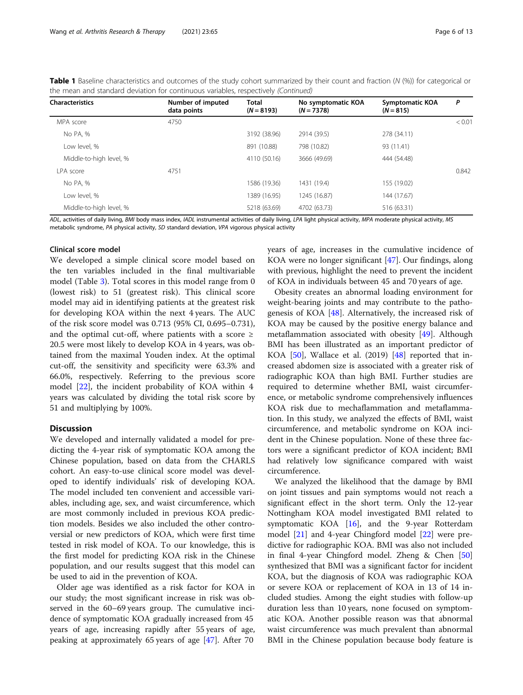| Table 1 Baseline characteristics and outcomes of the study cohort summarized by their count and fraction (N (%)) for categorical or |  |  |  |
|-------------------------------------------------------------------------------------------------------------------------------------|--|--|--|
| the mean and standard deviation for continuous variables, respectively (Continued)                                                  |  |  |  |

| <b>Characteristics</b>  | Number of imputed<br>data points | <b>Total</b><br>$(N = 8193)$ | No symptomatic KOA<br>$(N = 7378)$ | <b>Symptomatic KOA</b><br>$(N = 815)$ | P      |
|-------------------------|----------------------------------|------------------------------|------------------------------------|---------------------------------------|--------|
| MPA score               | 4750                             |                              |                                    |                                       | < 0.01 |
| No PA, %                |                                  | 3192 (38.96)                 | 2914 (39.5)                        | 278 (34.11)                           |        |
| Low level, %            |                                  | 891 (10.88)                  | 798 (10.82)                        | 93 (11.41)                            |        |
| Middle-to-high level, % |                                  | 4110 (50.16)                 | 3666 (49.69)                       | 444 (54.48)                           |        |
| I PA score              | 4751                             |                              |                                    |                                       | 0.842  |
| No PA, %                |                                  | 1586 (19.36)                 | 1431 (19.4)                        | 155 (19.02)                           |        |
| Low level. %            |                                  | 1389 (16.95)                 | 1245 (16.87)                       | 144 (17.67)                           |        |
| Middle-to-high level, % |                                  | 5218 (63.69)                 | 4702 (63.73)                       | 516 (63.31)                           |        |

ADL, activities of daily living, BMI body mass index, IADL instrumental activities of daily living, LPA light physical activity, MPA moderate physical activity, MS metabolic syndrome, PA physical activity, SD standard deviation, VPA vigorous physical activity

# Clinical score model

We developed a simple clinical score model based on the ten variables included in the final multivariable model (Table [3](#page-9-0)). Total scores in this model range from 0 (lowest risk) to 51 (greatest risk). This clinical score model may aid in identifying patients at the greatest risk for developing KOA within the next 4 years. The AUC of the risk score model was 0.713 (95% CI, 0.695–0.731), and the optimal cut-off, where patients with a score  $\geq$ 20.5 were most likely to develop KOA in 4 years, was obtained from the maximal Youden index. At the optimal cut-off, the sensitivity and specificity were 63.3% and 66.0%, respectively. Referring to the previous score model [\[22\]](#page-11-0), the incident probability of KOA within 4 years was calculated by dividing the total risk score by 51 and multiplying by 100%.

# **Discussion**

We developed and internally validated a model for predicting the 4-year risk of symptomatic KOA among the Chinese population, based on data from the CHARLS cohort. An easy-to-use clinical score model was developed to identify individuals' risk of developing KOA. The model included ten convenient and accessible variables, including age, sex, and waist circumference, which are most commonly included in previous KOA prediction models. Besides we also included the other controversial or new predictors of KOA, which were first time tested in risk model of KOA. To our knowledge, this is the first model for predicting KOA risk in the Chinese population, and our results suggest that this model can be used to aid in the prevention of KOA.

Older age was identified as a risk factor for KOA in our study; the most significant increase in risk was observed in the 60–69 years group. The cumulative incidence of symptomatic KOA gradually increased from 45 years of age, increasing rapidly after 55 years of age, peaking at approximately 65 years of age [[47\]](#page-12-0). After 70

years of age, increases in the cumulative incidence of KOA were no longer significant [\[47\]](#page-12-0). Our findings, along with previous, highlight the need to prevent the incident of KOA in individuals between 45 and 70 years of age.

Obesity creates an abnormal loading environment for weight-bearing joints and may contribute to the pathogenesis of KOA [[48\]](#page-12-0). Alternatively, the increased risk of KOA may be caused by the positive energy balance and metaflammation associated with obesity [\[49](#page-12-0)]. Although BMI has been illustrated as an important predictor of KOA [[50](#page-12-0)], Wallace et al. (2019) [[48](#page-12-0)] reported that increased abdomen size is associated with a greater risk of radiographic KOA than high BMI. Further studies are required to determine whether BMI, waist circumference, or metabolic syndrome comprehensively influences KOA risk due to mechaflammation and metaflammation. In this study, we analyzed the effects of BMI, waist circumference, and metabolic syndrome on KOA incident in the Chinese population. None of these three factors were a significant predictor of KOA incident; BMI had relatively low significance compared with waist circumference.

We analyzed the likelihood that the damage by BMI on joint tissues and pain symptoms would not reach a significant effect in the short term. Only the 12-year Nottingham KOA model investigated BMI related to symptomatic KOA [[16](#page-11-0)], and the 9-year Rotterdam model [\[21](#page-11-0)] and 4-year Chingford model [\[22](#page-11-0)] were predictive for radiographic KOA. BMI was also not included in final 4-year Chingford model. Zheng & Chen [[50](#page-12-0)] synthesized that BMI was a significant factor for incident KOA, but the diagnosis of KOA was radiographic KOA or severe KOA or replacement of KOA in 13 of 14 included studies. Among the eight studies with follow-up duration less than 10 years, none focused on symptomatic KOA. Another possible reason was that abnormal waist circumference was much prevalent than abnormal BMI in the Chinese population because body feature is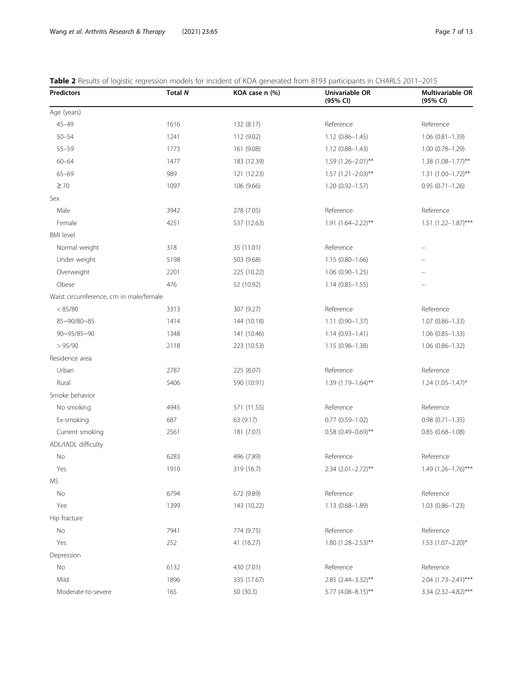<span id="page-6-0"></span>

| <b>Table 2</b> Results of logistic regression models for incident of KOA generated from 8193 participants in CHARLS 2011–2015 |  |  |
|-------------------------------------------------------------------------------------------------------------------------------|--|--|
|                                                                                                                               |  |  |

| <b>Predictors</b>                      | <b>Total N</b> | KOA case n (%) | Univariable OR<br>(95% CI) | Multivariable OR<br>(95% CI) |
|----------------------------------------|----------------|----------------|----------------------------|------------------------------|
| Age (years)                            |                |                |                            |                              |
| $45 - 49$                              | 1616           | 132 (8.17)     | Reference                  | Reference                    |
| $50 - 54$                              | 1241           | 112 (9.02)     | $1.12(0.86 - 1.45)$        | $1.06(0.81 - 1.39)$          |
| $55 - 59$                              | 1773           | 161 (9.08)     | $1.12(0.88 - 1.43)$        | $1.00(0.78 - 1.29)$          |
| $60 - 64$                              | 1477           | 183 (12.39)    | $1.59$ $(1.26 - 2.01)$ **  | $1.38$ $(1.08 - 1.77)$ **    |
| $65 - 69$                              | 989            | 121 (12.23)    | $1.57(1.21 - 2.03)$ **     | $1.31 (1.00 - 1.72)$ **      |
| $\geq 70$                              | 1097           | 106 (9.66)     | $1.20(0.92 - 1.57)$        | $0.95(0.71 - 1.26)$          |
| Sex                                    |                |                |                            |                              |
| Male                                   | 3942           | 278 (7.05)     | Reference                  | Reference                    |
| Female                                 | 4251           | 537 (12.63)    | $1.91 (1.64 - 2.22)$ **    | $1.51 (1.22 - 1.87)$ ***     |
| <b>BMI</b> level                       |                |                |                            |                              |
| Normal weight                          | 318            | 35 (11.01)     | Reference                  |                              |
| Under weight                           | 5198           | 503 (9.68)     | $1.15(0.80 - 1.66)$        |                              |
| Overweight                             | 2201           | 225 (10.22)    | $1.06(0.90 - 1.25)$        |                              |
| Obese                                  | 476            | 52 (10.92)     | $1.14(0.85 - 1.55)$        |                              |
| Waist circumference, cm in male/female |                |                |                            |                              |
| < 85/80                                | 3313           | 307 (9.27)     | Reference                  | Reference                    |
| 85~90/80~85                            | 1414           | 144 (10.18)    | $1.11(0.90 - 1.37)$        | $1.07(0.86 - 1.33)$          |
| 90~95/85~90                            | 1348           | 141 (10.46)    | $1.14(0.93 - 1.41)$        | $1.06(0.85 - 1.33)$          |
| > 95/90                                | 2118           | 223 (10.53)    | $1.15(0.96 - 1.38)$        | $1.06(0.86 - 1.32)$          |
| Residence area                         |                |                |                            |                              |
| Urban                                  | 2787           | 225 (8.07)     | Reference                  | Reference                    |
| Rural                                  | 5406           | 590 (10.91)    | $1.39(1.19 - 1.64)$ **     | $1.24$ $(1.05 - 1.47)^*$     |
| Smoke behavior                         |                |                |                            |                              |
| No smoking                             | 4945           | 571 (11.55)    | Reference                  | Reference                    |
| Ex-smoking                             | 687            | 63 (9.17)      | $0.77$ $(0.59 - 1.02)$     | $0.98(0.71 - 1.35)$          |
| Current smoking                        | 2561           | 181 (7.07)     | $0.58$ (0.49-0.69)**       | $0.85(0.68 - 1.08)$          |
| ADL/IADL difficulty                    |                |                |                            |                              |
| No                                     | 6283           | 496 (7.89)     | Reference                  | Reference                    |
| Yes                                    | 1910           | 319 (16.7)     | $2.34$ (2.01-2.72)**       | $1.49$ (1.26-1.76)***        |
| <b>MS</b>                              |                |                |                            |                              |
| No                                     | 6794           | 672 (9.89)     | Reference                  | Reference                    |
| Yee                                    | 1399           | 143 (10.22)    | $1.13(0.68 - 1.89)$        | $1.03(0.86 - 1.23)$          |
| Hip fracture                           |                |                |                            |                              |
| No                                     | 7941           | 774 (9.75)     | Reference                  | Reference                    |
| Yes                                    | 252            | 41 (16.27)     | $1.80(1.28 - 2.53)$ **     | $1.53$ $(1.07 - 2.20)$ *     |
| Depression                             |                |                |                            |                              |
| No                                     | 6132           | 430 (7.01)     | Reference                  | Reference                    |
| Mild                                   | 1896           | 335 (17.67)    | 2.85 (2.44-3.32)**         | $2.04$ (1.73-2.41)***        |
| Moderate-to-severe                     | 165            | 50 (30.3)      | $5.77$ (4.08-8.15)**       | 3.34 (2.32-4.82)***          |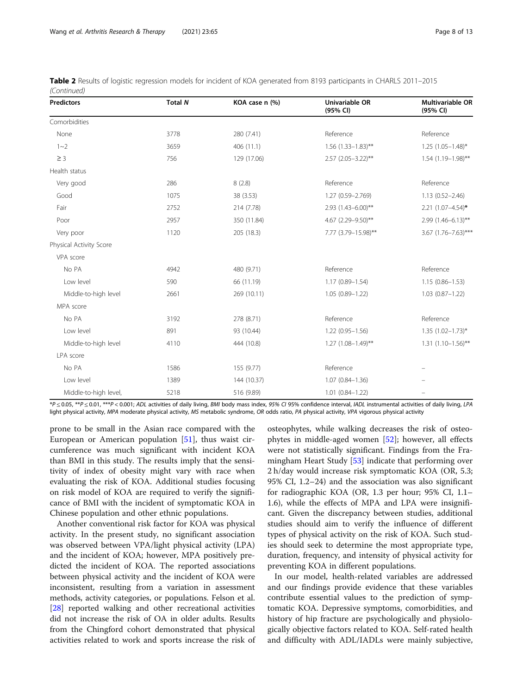| <b>Predictors</b>       | <b>Total N</b> | KOA case n (%) | Univariable OR<br>(95% CI) | <b>Multivariable OR</b><br>(95% CI) |
|-------------------------|----------------|----------------|----------------------------|-------------------------------------|
| Comorbidities           |                |                |                            |                                     |
| None                    | 3778           | 280 (7.41)     | Reference                  | Reference                           |
| $1 - 2$                 | 3659           | 406 (11.1)     | $1.56$ (1.33-1.83)**       | $1.25$ $(1.05-1.48)$ *              |
| $\geq$ 3                | 756            | 129 (17.06)    | $2.57$ (2.05-3.22)**       | $1.54$ (1.19-1.98)**                |
| Health status           |                |                |                            |                                     |
| Very good               | 286            | 8(2.8)         | Reference                  | Reference                           |
| Good                    | 1075           | 38 (3.53)      | 1.27 (0.59-2.769)          | $1.13(0.52 - 2.46)$                 |
| Fair                    | 2752           | 214 (7.78)     | 2.93 (1.43-6.00)**         | $2.21$ (1.07-4.54)*                 |
| Poor                    | 2957           | 350 (11.84)    | 4.67 (2.29-9.50)**         | 2.99 (1.46-6.13)**                  |
| Very poor               | 1120           | 205 (18.3)     | 7.77 (3.79-15.98)**        | $3.67$ (1.76-7.63)***               |
| Physical Activity Score |                |                |                            |                                     |
| VPA score               |                |                |                            |                                     |
| No PA                   | 4942           | 480 (9.71)     | Reference                  | Reference                           |
| Low level               | 590            | 66 (11.19)     | $1.17(0.89 - 1.54)$        | $1.15(0.86 - 1.53)$                 |
| Middle-to-high level    | 2661           | 269 (10.11)    | $1.05(0.89 - 1.22)$        | $1.03(0.87 - 1.22)$                 |
| MPA score               |                |                |                            |                                     |
| No PA                   | 3192           | 278 (8.71)     | Reference                  | Reference                           |
| Low level               | 891            | 93 (10.44)     | $1.22(0.95 - 1.56)$        | $1.35$ $(1.02 - 1.73)^*$            |
| Middle-to-high level    | 4110           | 444 (10.8)     | $1.27$ $(1.08 - 1.49)$ **  | $1.31 (1.10 - 1.56)$ **             |
| LPA score               |                |                |                            |                                     |
| No PA                   | 1586           | 155 (9.77)     | Reference                  |                                     |
| Low level               | 1389           | 144 (10.37)    | $1.07(0.84 - 1.36)$        |                                     |
| Middle-to-high level,   | 5218           | 516 (9.89)     | $1.01(0.84 - 1.22)$        |                                     |

| Table 2 Results of logistic regression models for incident of KOA generated from 8193 participants in CHARLS 2011-2015 |  |  |
|------------------------------------------------------------------------------------------------------------------------|--|--|
| (Continued)                                                                                                            |  |  |

\*P ≤ 0.05, \*\*P ≤ 0.01, \*\*\*P < 0.001; ADL activities of daily living, BMI body mass index, 95% CI 95% confidence interval, IADL instrumental activities of daily living, LPA light physical activity, MPA moderate physical activity, MS metabolic syndrome, OR odds ratio, PA physical activity, VPA vigorous physical activity

prone to be small in the Asian race compared with the European or American population [[51](#page-12-0)], thus waist circumference was much significant with incident KOA than BMI in this study. The results imply that the sensitivity of index of obesity might vary with race when evaluating the risk of KOA. Additional studies focusing on risk model of KOA are required to verify the significance of BMI with the incident of symptomatic KOA in Chinese population and other ethnic populations.

Another conventional risk factor for KOA was physical activity. In the present study, no significant association was observed between VPA/light physical activity (LPA) and the incident of KOA; however, MPA positively predicted the incident of KOA. The reported associations between physical activity and the incident of KOA were inconsistent, resulting from a variation in assessment methods, activity categories, or populations. Felson et al. [[28\]](#page-11-0) reported walking and other recreational activities did not increase the risk of OA in older adults. Results from the Chingford cohort demonstrated that physical activities related to work and sports increase the risk of

osteophytes, while walking decreases the risk of osteophytes in middle-aged women [\[52](#page-12-0)]; however, all effects were not statistically significant. Findings from the Framingham Heart Study [[53\]](#page-12-0) indicate that performing over 2 h/day would increase risk symptomatic KOA (OR, 5.3; 95% CI, 1.2–24) and the association was also significant for radiographic KOA (OR, 1.3 per hour; 95% CI, 1.1– 1.6), while the effects of MPA and LPA were insignificant. Given the discrepancy between studies, additional studies should aim to verify the influence of different types of physical activity on the risk of KOA. Such studies should seek to determine the most appropriate type, duration, frequency, and intensity of physical activity for preventing KOA in different populations.

In our model, health-related variables are addressed and our findings provide evidence that these variables contribute essential values to the prediction of symptomatic KOA. Depressive symptoms, comorbidities, and history of hip fracture are psychologically and physiologically objective factors related to KOA. Self-rated health and difficulty with ADL/IADLs were mainly subjective,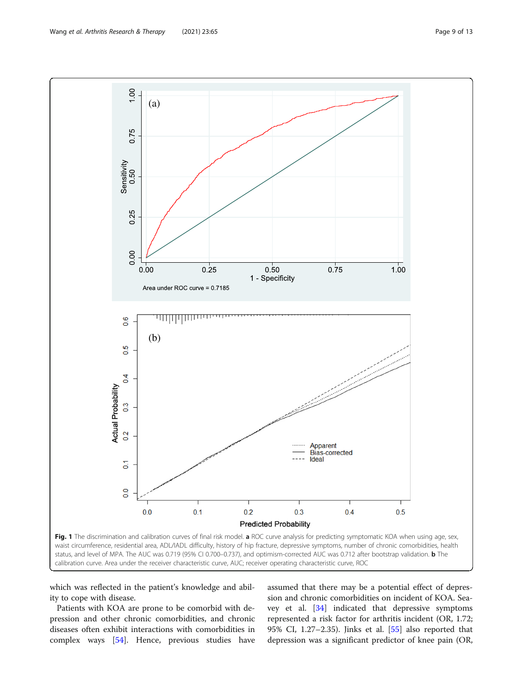<span id="page-8-0"></span>

which was reflected in the patient's knowledge and ability to cope with disease.

Patients with KOA are prone to be comorbid with depression and other chronic comorbidities, and chronic diseases often exhibit interactions with comorbidities in complex ways [\[54\]](#page-12-0). Hence, previous studies have assumed that there may be a potential effect of depression and chronic comorbidities on incident of KOA. Seavey et al. [[34](#page-11-0)] indicated that depressive symptoms represented a risk factor for arthritis incident (OR, 1.72; 95% CI, 1.27–2.35). Jinks et al. [\[55](#page-12-0)] also reported that depression was a significant predictor of knee pain (OR,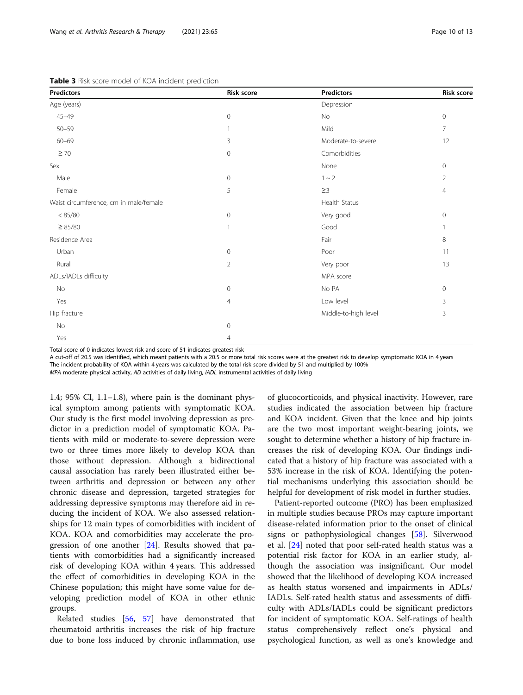| <b>Predictors</b>                      | Risk score     | <b>Predictors</b>    | Risk score   |
|----------------------------------------|----------------|----------------------|--------------|
| Age (years)                            |                | Depression           |              |
| $45 - 49$                              | $\circ$        | No                   | $\circ$      |
| $50 - 59$                              | $\mathbf{1}$   | Mild                 | 7            |
| $60 - 69$                              | 3              | Moderate-to-severe   | 12           |
| $\geq 70$                              | $\mathbf{0}$   | Comorbidities        |              |
| Sex                                    |                | None                 | $\mathbf 0$  |
| Male                                   | $\mathbf 0$    | $1 \sim 2$           | 2            |
| Female                                 | 5              | $\geq$ 3             | 4            |
| Waist circumference, cm in male/female |                | Health Status        |              |
| < 85/80                                | $\circ$        | Very good            | $\circ$      |
| $\geq 85/80$                           | $\overline{1}$ | Good                 | 1            |
| Residence Area                         |                | Fair                 | 8            |
| Urban                                  | $\circ$        | Poor                 | 11           |
| Rural                                  | $\overline{2}$ | Very poor            | 13           |
| ADLs/IADLs difficulty                  |                | MPA score            |              |
| No                                     | $\mathbf{0}$   | No PA                | $\mathbf{0}$ |
| Yes                                    | $\overline{4}$ | Low level            | 3            |
| Hip fracture                           |                | Middle-to-high level | 3            |
| No                                     | $\overline{0}$ |                      |              |
| Yes                                    | $\overline{4}$ |                      |              |

<span id="page-9-0"></span>Table 3 Risk score model of KOA incident prediction

Total score of 0 indicates lowest risk and score of 51 indicates greatest risk

A cut-off of 20.5 was identified, which meant patients with a 20.5 or more total risk scores were at the greatest risk to develop symptomatic KOA in 4 years

The incident probability of KOA within 4 years was calculated by the total risk score divided by 51 and multiplied by 100%

MPA moderate physical activity, AD activities of daily living, IADL instrumental activities of daily living

1.4;  $95\%$  CI,  $1.1-1.8$ ), where pain is the dominant physical symptom among patients with symptomatic KOA. Our study is the first model involving depression as predictor in a prediction model of symptomatic KOA. Patients with mild or moderate-to-severe depression were two or three times more likely to develop KOA than those without depression. Although a bidirectional causal association has rarely been illustrated either between arthritis and depression or between any other chronic disease and depression, targeted strategies for addressing depressive symptoms may therefore aid in reducing the incident of KOA. We also assessed relationships for 12 main types of comorbidities with incident of KOA. KOA and comorbidities may accelerate the progression of one another [\[24\]](#page-11-0). Results showed that patients with comorbidities had a significantly increased risk of developing KOA within 4 years. This addressed the effect of comorbidities in developing KOA in the Chinese population; this might have some value for developing prediction model of KOA in other ethnic groups.

Related studies [\[56](#page-12-0), [57](#page-12-0)] have demonstrated that rheumatoid arthritis increases the risk of hip fracture due to bone loss induced by chronic inflammation, use

of glucocorticoids, and physical inactivity. However, rare studies indicated the association between hip fracture and KOA incident. Given that the knee and hip joints are the two most important weight-bearing joints, we sought to determine whether a history of hip fracture increases the risk of developing KOA. Our findings indicated that a history of hip fracture was associated with a 53% increase in the risk of KOA. Identifying the potential mechanisms underlying this association should be helpful for development of risk model in further studies.

Patient-reported outcome (PRO) has been emphasized in multiple studies because PROs may capture important disease-related information prior to the onset of clinical signs or pathophysiological changes [[58\]](#page-12-0). Silverwood et al. [[24\]](#page-11-0) noted that poor self-rated health status was a potential risk factor for KOA in an earlier study, although the association was insignificant. Our model showed that the likelihood of developing KOA increased as health status worsened and impairments in ADLs/ IADLs. Self-rated health status and assessments of difficulty with ADLs/IADLs could be significant predictors for incident of symptomatic KOA. Self-ratings of health status comprehensively reflect one's physical and psychological function, as well as one's knowledge and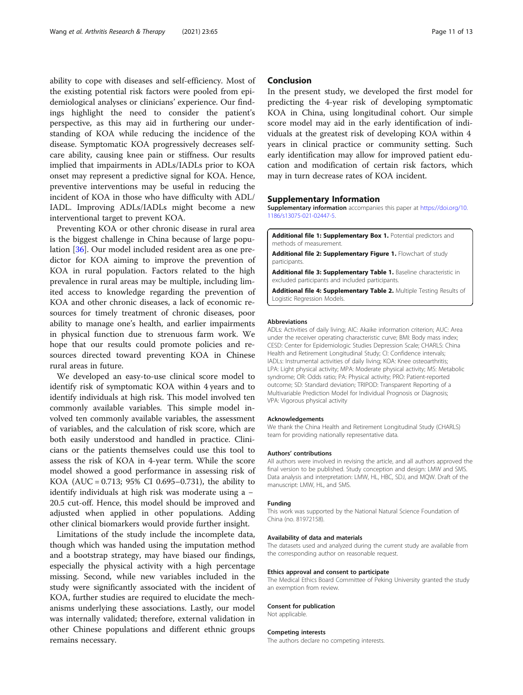<span id="page-10-0"></span>ability to cope with diseases and self-efficiency. Most of the existing potential risk factors were pooled from epidemiological analyses or clinicians' experience. Our findings highlight the need to consider the patient's perspective, as this may aid in furthering our understanding of KOA while reducing the incidence of the disease. Symptomatic KOA progressively decreases selfcare ability, causing knee pain or stiffness. Our results implied that impairments in ADLs/IADLs prior to KOA onset may represent a predictive signal for KOA. Hence, preventive interventions may be useful in reducing the incident of KOA in those who have difficulty with ADL/ IADL. Improving ADLs/IADLs might become a new interventional target to prevent KOA.

Preventing KOA or other chronic disease in rural area is the biggest challenge in China because of large population [[36\]](#page-11-0). Our model included resident area as one predictor for KOA aiming to improve the prevention of KOA in rural population. Factors related to the high prevalence in rural areas may be multiple, including limited access to knowledge regarding the prevention of KOA and other chronic diseases, a lack of economic resources for timely treatment of chronic diseases, poor ability to manage one's health, and earlier impairments in physical function due to strenuous farm work. We hope that our results could promote policies and resources directed toward preventing KOA in Chinese rural areas in future.

We developed an easy-to-use clinical score model to identify risk of symptomatic KOA within 4 years and to identify individuals at high risk. This model involved ten commonly available variables. This simple model involved ten commonly available variables, the assessment of variables, and the calculation of risk score, which are both easily understood and handled in practice. Clinicians or the patients themselves could use this tool to assess the risk of KOA in 4-year term. While the score model showed a good performance in assessing risk of KOA (AUC = 0.713; 95% CI 0.695–0.731), the ability to identify individuals at high risk was moderate using a − 20.5 cut-off. Hence, this model should be improved and adjusted when applied in other populations. Adding other clinical biomarkers would provide further insight.

Limitations of the study include the incomplete data, though which was handed using the imputation method and a bootstrap strategy, may have biased our findings, especially the physical activity with a high percentage missing. Second, while new variables included in the study were significantly associated with the incident of KOA, further studies are required to elucidate the mechanisms underlying these associations. Lastly, our model was internally validated; therefore, external validation in other Chinese populations and different ethnic groups remains necessary.

# Conclusion

In the present study, we developed the first model for predicting the 4-year risk of developing symptomatic KOA in China, using longitudinal cohort. Our simple score model may aid in the early identification of individuals at the greatest risk of developing KOA within 4 years in clinical practice or community setting. Such early identification may allow for improved patient education and modification of certain risk factors, which may in turn decrease rates of KOA incident.

#### Supplementary Information

Supplementary information accompanies this paper at [https://doi.org/10.](https://doi.org/10.1186/s13075-021-02447-5) [1186/s13075-021-02447-5](https://doi.org/10.1186/s13075-021-02447-5).

Additional file 1: Supplementary Box 1. Potential predictors and methods of measurement.

Additional file 2: Supplementary Figure 1. Flowchart of study participants.

Additional file 3: Supplementary Table 1. Baseline characteristic in excluded participants and included participants.

Additional file 4: Supplementary Table 2. Multiple Testing Results of Logistic Regression Models.

#### Abbreviations

ADLs: Activities of daily living; AIC: Akaike information criterion; AUC: Area under the receiver operating characteristic curve; BMI: Body mass index; CESD: Center for Epidemiologic Studies Depression Scale; CHARLS: China Health and Retirement Longitudinal Study; CI: Confidence intervals; IADLs: Instrumental activities of daily living; KOA: Knee osteoarthritis; LPA: Light physical activity; MPA: Moderate physical activity; MS: Metabolic syndrome; OR: Odds ratio; PA: Physical activity; PRO: Patient-reported outcome; SD: Standard deviation; TRIPOD: Transparent Reporting of a Multivariable Prediction Model for Individual Prognosis or Diagnosis; VPA: Vigorous physical activity

#### Acknowledgements

We thank the China Health and Retirement Longitudinal Study (CHARLS) team for providing nationally representative data.

#### Authors' contributions

All authors were involved in revising the article, and all authors approved the final version to be published. Study conception and design: LMW and SMS. Data analysis and interpretation: LMW, HL, HBC, SDJ, and MQW. Draft of the manuscript: LMW, HL, and SMS.

#### Funding

This work was supported by the National Natural Science Foundation of China (no. 81972158).

#### Availability of data and materials

The datasets used and analyzed during the current study are available from the corresponding author on reasonable request.

#### Ethics approval and consent to participate

The Medical Ethics Board Committee of Peking University granted the study an exemption from review.

#### Consent for publication

Not applicable.

#### Competing interests

The authors declare no competing interests.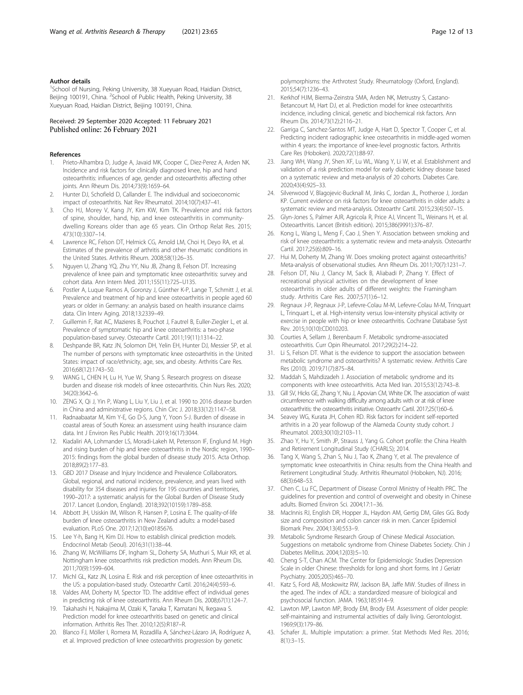# <span id="page-11-0"></span>Author details

<sup>1</sup>School of Nursing, Peking University, 38 Xueyuan Road, Haidian District, Beijing 100191, China. <sup>2</sup>School of Public Health, Peking University, 38 Xueyuan Road, Haidian District, Beijing 100191, China.

# Received: 29 September 2020 Accepted: 11 February 2021 Published online: 26 February 2021

#### References

- 1. Prieto-Alhambra D, Judge A, Javaid MK, Cooper C, Diez-Perez A, Arden NK. Incidence and risk factors for clinically diagnosed knee, hip and hand osteoarthritis: influences of age, gender and osteoarthritis affecting other joints. Ann Rheum Dis. 2014;73(9):1659–64.
- 2. Hunter DJ, Schofield D, Callander E. The individual and socioeconomic impact of osteoarthritis. Nat Rev Rheumatol. 2014;10(7):437–41.
- 3. Cho HJ, Morey V, Kang JY, Kim KW, Kim TK. Prevalence and risk factors of spine, shoulder, hand, hip, and knee osteoarthritis in communitydwelling Koreans older than age 65 years. Clin Orthop Relat Res. 2015; 473(10):3307–14.
- 4. Lawrence RC, Felson DT, Helmick CG, Arnold LM, Choi H, Deyo RA, et al. Estimates of the prevalence of arthritis and other rheumatic conditions in the United States. Arthritis Rheum. 2008;58(1):26–35.
- 5. Nguyen U, Zhang YQ, Zhu YY, Niu JB, Zhang B, Felson DT. Increasing prevalence of knee pain and symptomatic knee osteoarthritis: survey and cohort data. Ann Intern Med. 2011;155(11):725–U135.
- 6. Postler A, Luque Ramos A, Goronzy J, Günther K-P, Lange T, Schmitt J, et al. Prevalence and treatment of hip and knee osteoarthritis in people aged 60 years or older in Germany: an analysis based on health insurance claims data. Clin Interv Aging. 2018;13:2339–49.
- Guillemin F, Rat AC, Mazieres B, Pouchot J, Fautrel B, Euller-Ziegler L, et al. Prevalence of symptomatic hip and knee osteoarthritis: a two-phase population-based survey. Osteoarthr Cartil. 2011;19(11):1314–22.
- 8. Deshpande BR, Katz JN, Solomon DH, Yelin EH, Hunter DJ, Messier SP, et al. The number of persons with symptomatic knee osteoarthritis in the United States: impact of race/ethnicity, age, sex, and obesity. Arthritis Care Res. 2016;68(12):1743–50.
- WANG L, CHEN H, Lu H, Yue W, Shang S. Research progress on disease burden and disease risk models of knee osteoarthritis. Chin Nurs Res. 2020; 34(20):3642–6.
- 10. ZENG X, Qi J, Yin P, Wang L, Liu Y, Liu J, et al. 1990 to 2016 disease burden in China and administrative regions. Chin Circ J. 2018;33(12):1147–58.
- 11. Radnaabaatar M, Kim Y-E, Go D-S, Jung Y, Yoon S-J. Burden of disease in coastal areas of South Korea: an assessment using health insurance claim data. Int J Environ Res Public Health. 2019;16(17):3044.
- 12. Kiadaliri AA, Lohmander LS, Moradi-Lakeh M, Petersson IF, Englund M. High and rising burden of hip and knee osteoarthritis in the Nordic region, 1990– 2015: findings from the global burden of disease study 2015. Acta Orthop. 2018;89(2):177–83.
- 13. GBD 2017 Disease and Injury Incidence and Prevalence Collaborators. Global, regional, and national incidence, prevalence, and years lived with disability for 354 diseases and injuries for 195 countries and territories, 1990–2017: a systematic analysis for the Global Burden of Disease Study 2017. Lancet (London, England). 2018;392(10159):1789–858.
- 14. Abbott JH, Usiskin IM, Wilson R, Hansen P, Losina E. The quality-of-life burden of knee osteoarthritis in New Zealand adults: a model-based evaluation. PLoS One. 2017;12(10):e0185676.
- 15. Lee Y-h, Bang H, Kim DJ. How to establish clinical prediction models. Endocrinol Metab (Seoul). 2016;31(1):38–44.
- 16. Zhang W, McWilliams DF, Ingham SL, Doherty SA, Muthuri S, Muir KR, et al. Nottingham knee osteoarthritis risk prediction models. Ann Rheum Dis. 2011;70(9):1599–604.
- 17. Michl GL, Katz JN, Losina E. Risk and risk perception of knee osteoarthritis in the US: a population-based study. Osteoarthr Cartil. 2016;24(4):593–6.
- 18. Valdes AM, Doherty M, Spector TD. The additive effect of individual genes in predicting risk of knee osteoarthritis. Ann Rheum Dis. 2008;67(1):124–7.
- 19. Takahashi H, Nakajima M, Ozaki K, Tanaka T, Kamatani N, Ikegawa S. Prediction model for knee osteoarthritis based on genetic and clinical information. Arthritis Res Ther. 2010;12(5):R187–R.
- 20. Blanco FJ, Möller I, Romera M, Rozadilla A, Sánchez-Lázaro JA, Rodríguez A, et al. Improved prediction of knee osteoarthritis progression by genetic

polymorphisms: the Arthrotest Study. Rheumatology (Oxford, England). 2015;54(7):1236–43.

- 21. Kerkhof HJM, Bierma-Zeinstra SMA, Arden NK, Metrustry S, Castano-Betancourt M, Hart DJ, et al. Prediction model for knee osteoarthritis incidence, including clinical, genetic and biochemical risk factors. Ann Rheum Dis. 2014;73(12):2116–21.
- 22. Garriga C, Sanchez-Santos MT, Judge A, Hart D, Spector T, Cooper C, et al. Predicting incident radiographic knee osteoarthritis in middle-aged women within 4 years: the importance of knee-level prognostic factors. Arthritis Care Res (Hoboken). 2020;72(1):88-97.
- 23. Jiang WH, Wang JY, Shen XF, Lu WL, Wang Y, Li W, et al. Establishment and validation of a risk prediction model for early diabetic kidney disease based on a systematic review and meta-analysis of 20 cohorts. Diabetes Care. 2020;43(4):925–33.
- 24. Silverwood V, Blagojevic-Bucknall M, Jinks C, Jordan JL, Protheroe J, Jordan KP. Current evidence on risk factors for knee osteoarthritis in older adults: a systematic review and meta-analysis. Osteoarthr Cartil. 2015;23(4):507–15.
- 25. Glyn-Jones S, Palmer AJR, Agricola R, Price AJ, Vincent TL, Weinans H, et al. Osteoarthritis. Lancet (British edition). 2015;386(9991):376–87.
- 26. Kong L, Wang L, Meng F, Cao J, Shen Y. Association between smoking and risk of knee osteoarthritis: a systematic review and meta-analysis. Osteoarthr Cartil. 2017;25(6):809–16.
- 27. Hui M, Doherty M, Zhang W. Does smoking protect against osteoarthritis? Meta-analysis of observational studies. Ann Rheum Dis. 2011;70(7):1231–7.
- 28. Felson DT, Niu J, Clancy M, Sack B, Aliabadi P, Zhang Y. Effect of recreational physical activities on the development of knee osteoarthritis in older adults of different weights: the Framingham study. Arthritis Care Res. 2007;57(1):6–12.
- 29. Regnaux J-P, Regnaux J-P, Lefevre-Colau M-M, Lefevre-Colau M-M, Trinquart L, Trinquart L, et al. High-intensity versus low-intensity physical activity or exercise in people with hip or knee osteoarthritis. Cochrane Database Syst Rev. 2015;10(10):CD010203.
- 30. Courties A, Sellam J, Berenbaum F. Metabolic syndrome-associated osteoarthritis. Curr Opin Rheumatol. 2017;29(2):214–22.
- 31. Li S, Felson DT. What is the evidence to support the association between metabolic syndrome and osteoarthritis? A systematic review. Arthritis Care Res (2010). 2019;71(7):875–84.
- 32. Maddah S, Mahdizadeh J. Association of metabolic syndrome and its components with knee osteoarthritis. Acta Med Iran. 2015;53(12):743–8.
- 33. Gill SV, Hicks GE, Zhang Y, Niu J, Apovian CM, White DK. The association of waist circumference with walking difficulty among adults with or at risk of knee osteoarthritis: the osteoarthritis initiative. Osteoarthr Cartil. 2017;25(1):60–6.
- Seavey WG, Kurata JH, Cohen RD. Risk factors for incident self-reported arthritis in a 20 year followup of the Alameda County study cohort. J Rheumatol. 2003;30(10):2103–11.
- 35. Zhao Y, Hu Y, Smith JP, Strauss J, Yang G. Cohort profile: the China Health and Retirement Longitudinal Study (CHARLS); 2014.
- 36. Tang X, Wang S, Zhan S, Niu J, Tao K, Zhang Y, et al. The prevalence of symptomatic knee osteoarthritis in China: results from the China Health and Retirement Longitudinal Study. Arthritis Rheumatol (Hoboken, NJ). 2016; 68(3):648–53.
- 37. Chen C, Lu FC, Department of Disease Control Ministry of Health PRC. The guidelines for prevention and control of overweight and obesity in Chinese adults. Biomed Environ Sci. 2004;17:1–36.
- 38. MacInnis RJ, English DR, Hopper JL, Haydon AM, Gertig DM, Giles GG. Body size and composition and colon cancer risk in men. Cancer Epidemiol Biomark Prev. 2004;13(4):553–9.
- 39. Metabolic Syndrome Research Group of Chinese Medical Association. Suggestions on metabolic syndrome from Chinese Diabetes Society. Chin J Diabetes Mellitus. 2004;12(03):5–10.
- 40. Cheng S-T, Chan ACM. The Center for Epidemiologic Studies Depression Scale in older Chinese: thresholds for long and short forms. Int J Geriatr Psychiatry. 2005;20(5):465–70.
- 41. Katz S, Ford AB, Moskowitz RW, Jackson BA, Jaffe MW. Studies of illness in the aged. The index of ADL: a standardized measure of biological and psychosocial function. JAMA. 1963;185:914–9.
- 42. Lawton MP, Lawton MP, Brody EM, Brody EM. Assessment of older people: self-maintaining and instrumental activities of daily living. Gerontologist. 1969;9(3):179–86.
- 43. Schafer JL. Multiple imputation: a primer. Stat Methods Med Res. 2016; 8(1):3–15.